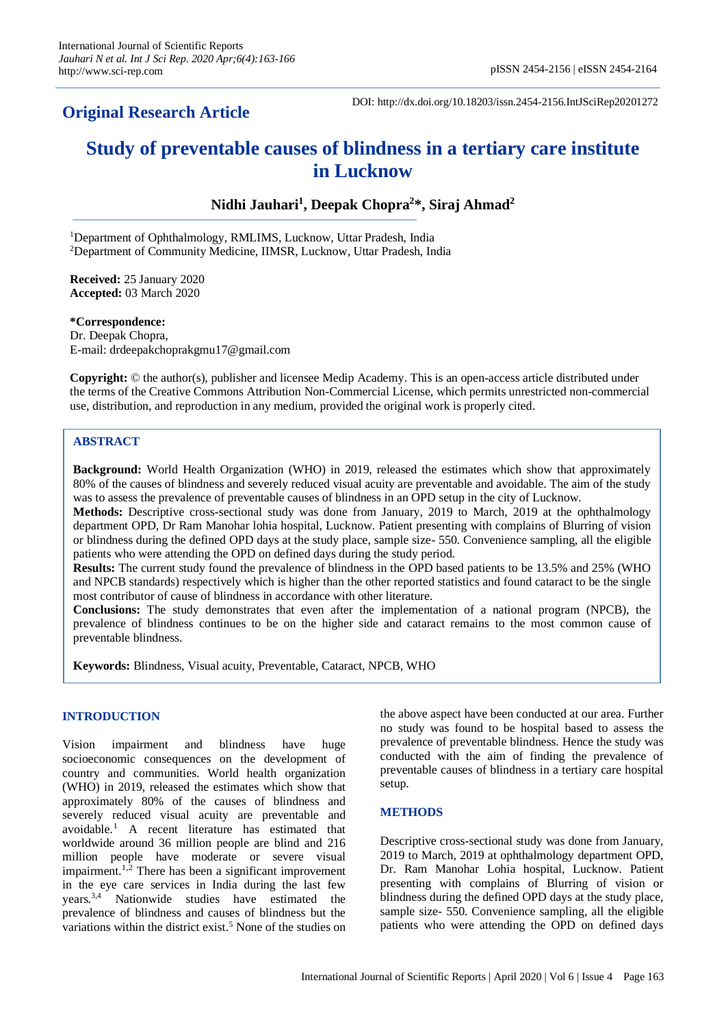## **Original Research Article**

DOI: http://dx.doi.org/10.18203/issn.2454-2156.IntJSciRep20201272

# **Study of preventable causes of blindness in a tertiary care institute in Lucknow**

### **Nidhi Jauhari<sup>1</sup> , Deepak Chopra<sup>2</sup> \*, Siraj Ahmad<sup>2</sup>**

<sup>1</sup>Department of Ophthalmology, RMLIMS, Lucknow, Uttar Pradesh, India <sup>2</sup>Department of Community Medicine, IIMSR, Lucknow, Uttar Pradesh, India

**Received:** 25 January 2020 **Accepted:** 03 March 2020

#### **\*Correspondence:**

Dr. Deepak Chopra, E-mail: drdeepakchoprakgmu17@gmail.com

**Copyright:** © the author(s), publisher and licensee Medip Academy. This is an open-access article distributed under the terms of the Creative Commons Attribution Non-Commercial License, which permits unrestricted non-commercial use, distribution, and reproduction in any medium, provided the original work is properly cited.

#### **ABSTRACT**

**Background:** World Health Organization (WHO) in 2019, released the estimates which show that approximately 80% of the causes of blindness and severely reduced visual acuity are preventable and avoidable. The aim of the study was to assess the prevalence of preventable causes of blindness in an OPD setup in the city of Lucknow.

**Methods:** Descriptive cross-sectional study was done from January, 2019 to March, 2019 at the ophthalmology department OPD, Dr Ram Manohar lohia hospital, Lucknow. Patient presenting with complains of Blurring of vision or blindness during the defined OPD days at the study place, sample size- 550. Convenience sampling, all the eligible patients who were attending the OPD on defined days during the study period.

**Results:** The current study found the prevalence of blindness in the OPD based patients to be 13.5% and 25% (WHO and NPCB standards) respectively which is higher than the other reported statistics and found cataract to be the single most contributor of cause of blindness in accordance with other literature.

**Conclusions:** The study demonstrates that even after the implementation of a national program (NPCB), the prevalence of blindness continues to be on the higher side and cataract remains to the most common cause of preventable blindness.

**Keywords:** Blindness, Visual acuity, Preventable, Cataract, NPCB, WHO

#### **INTRODUCTION**

Vision impairment and blindness have huge socioeconomic consequences on the development of country and communities. World health organization (WHO) in 2019, released the estimates which show that approximately 80% of the causes of blindness and severely reduced visual acuity are preventable and avoidable. <sup>1</sup> A recent literature has estimated that worldwide around 36 million people are blind and 216 million people have moderate or severe visual impairment.<sup>1,2</sup> There has been a significant improvement in the eye care services in India during the last few years.3,4 Nationwide studies have estimated the prevalence of blindness and causes of blindness but the variations within the district exist.<sup>5</sup> None of the studies on the above aspect have been conducted at our area. Further no study was found to be hospital based to assess the prevalence of preventable blindness. Hence the study was conducted with the aim of finding the prevalence of preventable causes of blindness in a tertiary care hospital setup.

#### **METHODS**

Descriptive cross-sectional study was done from January, 2019 to March, 2019 at ophthalmology department OPD, Dr. Ram Manohar Lohia hospital, Lucknow. Patient presenting with complains of Blurring of vision or blindness during the defined OPD days at the study place, sample size- 550. Convenience sampling, all the eligible patients who were attending the OPD on defined days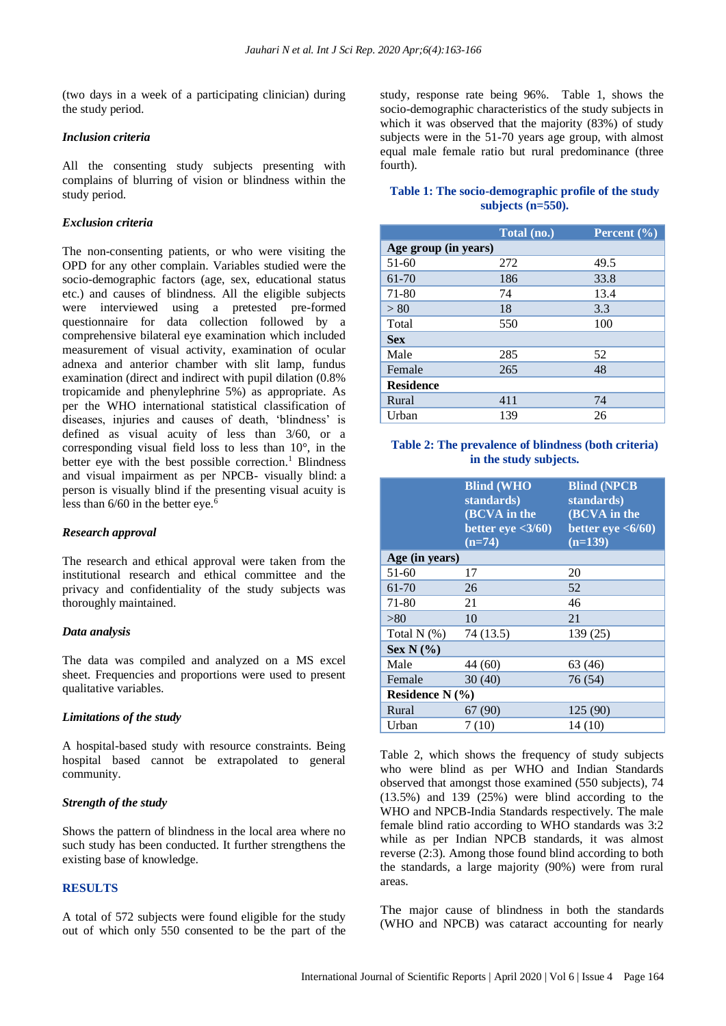(two days in a week of a participating clinician) during the study period.

#### *Inclusion criteria*

All the consenting study subjects presenting with complains of blurring of vision or blindness within the study period.

#### *Exclusion criteria*

The non-consenting patients, or who were visiting the OPD for any other complain. Variables studied were the socio-demographic factors (age, sex, educational status etc.) and causes of blindness. All the eligible subjects were interviewed using a pretested pre-formed questionnaire for data collection followed by a comprehensive bilateral eye examination which included measurement of visual activity, examination of ocular adnexa and anterior chamber with slit lamp, fundus examination (direct and indirect with pupil dilation (0.8% tropicamide and phenylephrine 5%) as appropriate. As per the WHO international statistical classification of diseases, injuries and causes of death, 'blindness' is defined as visual acuity of less than 3/60, or a corresponding visual field loss to less than 10°, in the better eye with the best possible correction.<sup>1</sup> Blindness and visual impairment as per NPCB- visually blind: a person is visually blind if the presenting visual acuity is less than  $6/60$  in the better eye.<sup>6</sup>

#### *Research approval*

The research and ethical approval were taken from the institutional research and ethical committee and the privacy and confidentiality of the study subjects was thoroughly maintained.

#### *Data analysis*

The data was compiled and analyzed on a MS excel sheet. Frequencies and proportions were used to present qualitative variables.

#### *Limitations of the study*

A hospital-based study with resource constraints. Being hospital based cannot be extrapolated to general community.

#### *Strength of the study*

Shows the pattern of blindness in the local area where no such study has been conducted. It further strengthens the existing base of knowledge.

#### **RESULTS**

A total of 572 subjects were found eligible for the study out of which only 550 consented to be the part of the study, response rate being 96%. Table 1, shows the socio-demographic characteristics of the study subjects in which it was observed that the majority (83%) of study subjects were in the 51-70 years age group, with almost equal male female ratio but rural predominance (three fourth).

#### **Table 1: The socio-demographic profile of the study subjects (n=550).**

|                      | Total (no.) | Percent $(\% )$ |
|----------------------|-------------|-----------------|
| Age group (in years) |             |                 |
| $51-60$              | 272         | 49.5            |
| 61-70                | 186         | 33.8            |
| 71-80                | 74          | 13.4            |
| > 80                 | 18          | 3.3             |
| Total                | 550         | 100             |
| <b>Sex</b>           |             |                 |
| Male                 | 285         | 52              |
| Female               | 265         | 48              |
| <b>Residence</b>     |             |                 |
| Rural                | 411         | 74              |
| Urban                | 139         | 26              |

#### **Table 2: The prevalence of blindness (both criteria) in the study subjects.**

|                   | <b>Blind (WHO</b><br>standards)<br>(BCVA in the<br>better eye $<3/60$ )<br>$(n=74)$ | <b>Blind (NPCB</b><br>standards)<br>(BCVA in the<br>better eye $\langle 6/60 \rangle$<br>$(n=139)$ |
|-------------------|-------------------------------------------------------------------------------------|----------------------------------------------------------------------------------------------------|
| Age (in years)    |                                                                                     |                                                                                                    |
| 51-60             | 17                                                                                  | 20                                                                                                 |
| 61-70             | 26                                                                                  | 52                                                                                                 |
| 71-80             | 21                                                                                  | 46                                                                                                 |
| > 80              | 10                                                                                  | 21                                                                                                 |
| Total $N$ $(\%)$  | 74 (13.5)                                                                           | 139 (25)                                                                                           |
| Sex $N$ (%)       |                                                                                     |                                                                                                    |
| Male              | 44 (60)                                                                             | 63 (46)                                                                                            |
| Female            | 30(40)                                                                              | 76 (54)                                                                                            |
| Residence $N(\%)$ |                                                                                     |                                                                                                    |
| Rural             | 67 (90)                                                                             | 125 (90)                                                                                           |
| Urban             | 7(10)                                                                               | 14(10)                                                                                             |

Table 2, which shows the frequency of study subjects who were blind as per WHO and Indian Standards observed that amongst those examined (550 subjects), 74 (13.5%) and 139 (25%) were blind according to the WHO and NPCB-India Standards respectively. The male female blind ratio according to WHO standards was 3:2 while as per Indian NPCB standards, it was almost reverse (2:3). Among those found blind according to both the standards, a large majority (90%) were from rural areas.

The major cause of blindness in both the standards (WHO and NPCB) was cataract accounting for nearly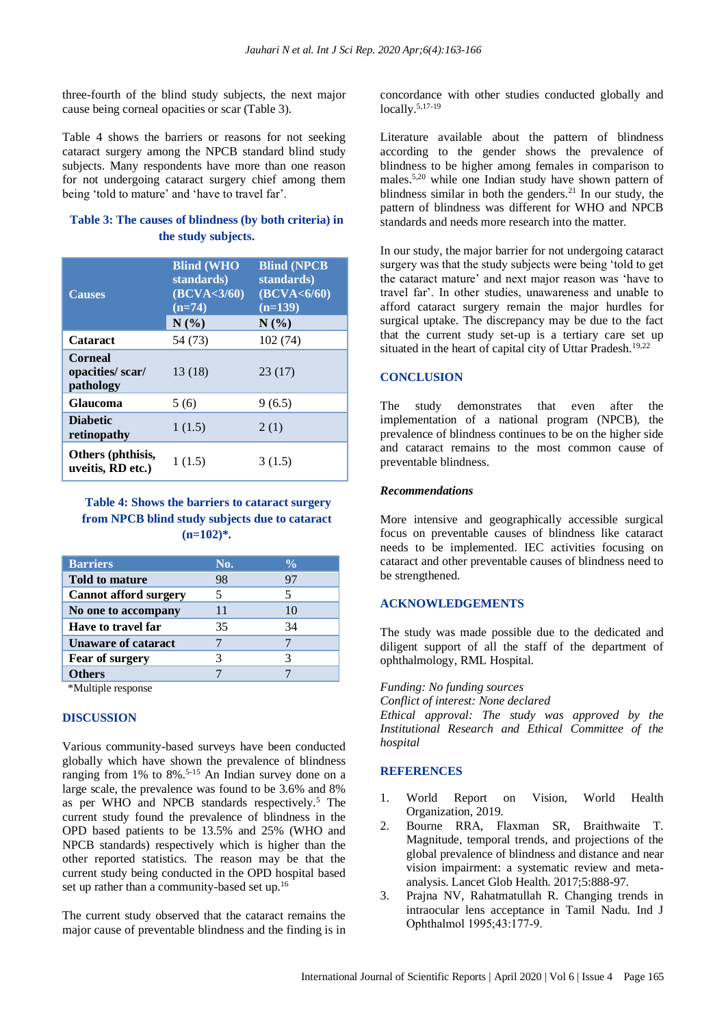three-fourth of the blind study subjects, the next major cause being corneal opacities or scar (Table 3).

Table 4 shows the barriers or reasons for not seeking cataract surgery among the NPCB standard blind study subjects. Many respondents have more than one reason for not undergoing cataract surgery chief among them being 'told to mature' and 'have to travel far'.

#### **Table 3: The causes of blindness (by both criteria) in the study subjects.**

| <b>Causes</b>                                  | <b>Blind (WHO</b><br>standards)<br>(BCVA < 3/60)<br>$(n=74)$<br>N(%) | <b>Blind (NPCB</b><br>standards)<br>(BCVA <sub>6/60</sub> )<br>$(n=139)$<br>N(%) |
|------------------------------------------------|----------------------------------------------------------------------|----------------------------------------------------------------------------------|
| <b>Cataract</b>                                | 54 (73)                                                              | 102 (74)                                                                         |
| <b>Corneal</b><br>opacities/scar/<br>pathology | 13(18)                                                               | 23(17)                                                                           |
| <b>Glaucoma</b>                                | 5(6)                                                                 | 9(6.5)                                                                           |
| <b>Diabetic</b><br>retinopathy                 | 1(1.5)                                                               | 2(1)                                                                             |
| Others (phthisis,<br>uveitis, RD etc.)         | 1(1.5)                                                               | 3(1.5)                                                                           |

**Table 4: Shows the barriers to cataract surgery from NPCB blind study subjects due to cataract (n=102)\*.**

| <b>Barriers</b>              | No. | $\frac{6}{10}$ |
|------------------------------|-----|----------------|
| <b>Told to mature</b>        | 98  | 97             |
| <b>Cannot afford surgery</b> | 5   |                |
| No one to accompany          | 11  | 10             |
| <b>Have to travel far</b>    | 35  | 34             |
| <b>Unaware of cataract</b>   |     |                |
| Fear of surgery              |     |                |
| <b>Others</b>                |     |                |

\*Multiple response

#### **DISCUSSION**

Various community-based surveys have been conducted globally which have shown the prevalence of blindness ranging from 1% to  $8\%$ .<sup>5-15</sup> An Indian survey done on a large scale, the prevalence was found to be 3.6% and 8% as per WHO and NPCB standards respectively.<sup>5</sup> The current study found the prevalence of blindness in the OPD based patients to be 13.5% and 25% (WHO and NPCB standards) respectively which is higher than the other reported statistics. The reason may be that the current study being conducted in the OPD hospital based set up rather than a community-based set up.<sup>16</sup>

The current study observed that the cataract remains the major cause of preventable blindness and the finding is in concordance with other studies conducted globally and locally.5,17-19

Literature available about the pattern of blindness according to the gender shows the prevalence of blindness to be higher among females in comparison to males. 5,20 while one Indian study have shown pattern of blindness similar in both the genders.<sup>21</sup> In our study, the pattern of blindness was different for WHO and NPCB standards and needs more research into the matter.

In our study, the major barrier for not undergoing cataract surgery was that the study subjects were being 'told to get the cataract mature' and next major reason was 'have to travel far'. In other studies, unawareness and unable to afford cataract surgery remain the major hurdles for surgical uptake. The discrepancy may be due to the fact that the current study set-up is a tertiary care set up situated in the heart of capital city of Uttar Pradesh.<sup>19,22</sup>

#### **CONCLUSION**

The study demonstrates that even after the implementation of a national program (NPCB), the prevalence of blindness continues to be on the higher side and cataract remains to the most common cause of preventable blindness.

#### *Recommendations*

More intensive and geographically accessible surgical focus on preventable causes of blindness like cataract needs to be implemented. IEC activities focusing on cataract and other preventable causes of blindness need to be strengthened.

#### **ACKNOWLEDGEMENTS**

The study was made possible due to the dedicated and diligent support of all the staff of the department of ophthalmology, RML Hospital.

*Funding: No funding sources*

*Conflict of interest: None declared Ethical approval: The study was approved by the Institutional Research and Ethical Committee of the hospital*

#### **REFERENCES**

- 1. World Report on Vision, World Health Organization, 2019.
- 2. Bourne RRA, Flaxman SR, Braithwaite T. Magnitude, temporal trends, and projections of the global prevalence of blindness and distance and near vision impairment: a systematic review and metaanalysis. Lancet Glob Health. 2017;5:888-97.
- 3. Prajna NV, Rahatmatullah R. Changing trends in intraocular lens acceptance in Tamil Nadu. Ind J Ophthalmol 1995;43:177‑9.